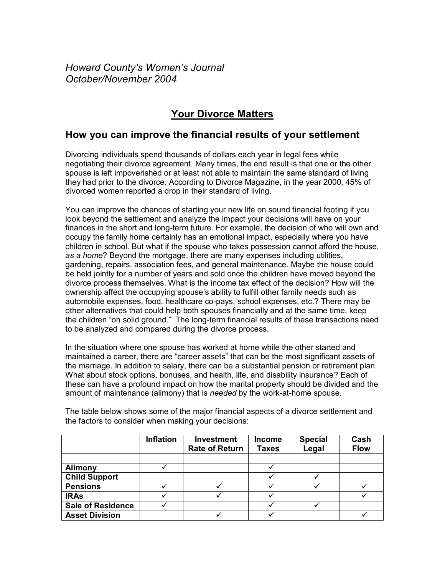*Howard Countyís Womenís Journal October/November 2004*

## **Your Divorce Matters**

## **How you can improve the financial results of your settlement**

Divorcing individuals spend thousands of dollars each year in legal fees while negotiating their divorce agreement. Many times, the end result is that one or the other spouse is left impoverished or at least not able to maintain the same standard of living they had prior to the divorce. According to Divorce Magazine, in the year 2000, 45% of divorced women reported a drop in their standard of living.

You can improve the chances of starting your new life on sound financial footing if you look beyond the settlement and analyze the impact your decisions will have on your finances in the short and long-term future. For example, the decision of who will own and occupy the family home certainly has an emotional impact, especially where you have children in school. But what if the spouse who takes possession cannot afford the house, *as a home*? Beyond the mortgage, there are many expenses including utilities, gardening, repairs, association fees, and general maintenance. Maybe the house could be held jointly for a number of years and sold once the children have moved beyond the divorce process themselves. What is the income tax effect of the decision? How will the ownership affect the occupying spouse's ability to fulfill other family needs such as automobile expenses, food, healthcare co-pays, school expenses, etc.? There may be other alternatives that could help both spouses financially and at the same time, keep the children "on solid ground." The long-term financial results of these transactions need to be analyzed and compared during the divorce process.

In the situation where one spouse has worked at home while the other started and maintained a career, there are "career assets" that can be the most significant assets of the marriage. In addition to salary, there can be a substantial pension or retirement plan. What about stock options, bonuses, and health, life, and disability insurance? Each of these can have a profound impact on how the marital property should be divided and the amount of maintenance (alimony) that is *needed* by the work-at-home spouse.

|                          | <b>Inflation</b> | Investment<br><b>Rate of Return</b> | <b>Income</b><br><b>Taxes</b> | <b>Special</b><br>Legal | Cash<br><b>Flow</b> |
|--------------------------|------------------|-------------------------------------|-------------------------------|-------------------------|---------------------|
|                          |                  |                                     |                               |                         |                     |
| <b>Alimony</b>           |                  |                                     |                               |                         |                     |
| <b>Child Support</b>     |                  |                                     |                               |                         |                     |
| <b>Pensions</b>          |                  |                                     |                               |                         |                     |
| <b>IRAs</b>              |                  |                                     |                               |                         |                     |
| <b>Sale of Residence</b> |                  |                                     |                               |                         |                     |
| <b>Asset Division</b>    |                  |                                     |                               |                         |                     |

The table below shows some of the major financial aspects of a divorce settlement and the factors to consider when making your decisions: